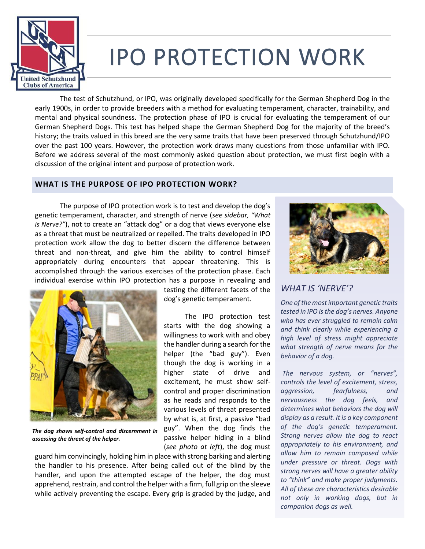

# IPO PROTECTION WORK

The test of Schutzhund, or IPO, was originally developed specifically for the German Shepherd Dog in the early 1900s, in order to provide breeders with a method for evaluating temperament, character, trainability, and mental and physical soundness. The protection phase of IPO is crucial for evaluating the temperament of our German Shepherd Dogs. This test has helped shape the German Shepherd Dog for the majority of the breed's history; the traits valued in this breed are the very same traits that have been preserved through Schutzhund/IPO over the past 100 years. However, the protection work draws many questions from those unfamiliar with IPO. Before we address several of the most commonly asked question about protection, we must first begin with a discussion of the original intent and purpose of protection work.

> testing the different facets of the dog's genetic temperament.

> The IPO protection test starts with the dog showing a willingness to work with and obey the handler during a search for the helper (the "bad guy"). Even though the dog is working in a higher state of drive and excitement, he must show selfcontrol and proper discrimination as he reads and responds to the various levels of threat presented by what is, at first, a passive "bad guy". When the dog finds the passive helper hiding in a blind

## **WHAT IS THE PURPOSE OF IPO PROTECTION WORK?**

The purpose of IPO protection work is to test and develop the dog's genetic temperament, character, and strength of nerve (*see sidebar, "What is Nerve?"*), not to create an "attack dog" or a dog that views everyone else as a threat that must be neutralized or repelled. The traits developed in IPO protection work allow the dog to better discern the difference between threat and non-threat, and give him the ability to control himself appropriately during encounters that appear threatening. This is accomplished through the various exercises of the protection phase. Each individual exercise within IPO protection has a purpose in revealing and



*The dog shows self-control and discernment in assessing the threat of the helper.*

(*see photo at left*), the dog must guard him convincingly, holding him in place with strong barking and alerting the handler to his presence. After being called out of the blind by the handler, and upon the attempted escape of the helper, the dog must apprehend, restrain, and control the helper with a firm, full grip on the sleeve while actively preventing the escape. Every grip is graded by the judge, and



# *WHAT IS 'NERVE'?*

*One of the most important genetic traits tested in IPO is the dog's nerves. Anyone who has ever struggled to remain calm and think clearly while experiencing a high level of stress might appreciate what strength of nerve means for the behavior of a dog.*

*The nervous system, or "nerves", controls the level of excitement, stress, aggression, fearfulness, and nervousness the dog feels, and determines what behaviors the dog will display as a result. It is a key component of the dog's genetic temperament. Strong nerves allow the dog to react appropriately to his environment, and allow him to remain composed while under pressure or threat. Dogs with strong nerves will have a greater ability to "think" and make proper judgments. All of these are characteristics desirable not only in working dogs, but in companion dogs as well.*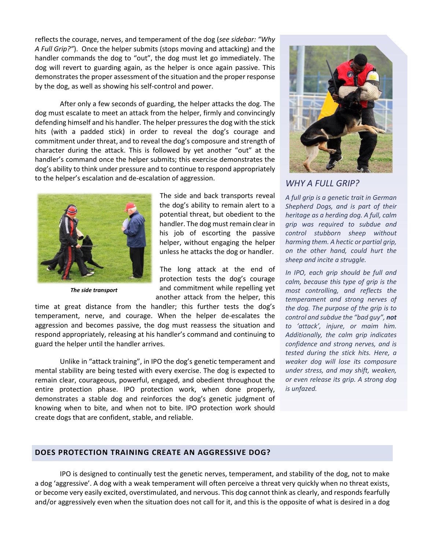reflects the courage, nerves, and temperament of the dog (*see sidebar: "Why A Full Grip?"*). Once the helper submits (stops moving and attacking) and the handler commands the dog to "out", the dog must let go immediately. The dog will revert to guarding again, as the helper is once again passive. This demonstrates the proper assessment of the situation and the proper response by the dog, as well as showing his self-control and power.

After only a few seconds of guarding, the helper attacks the dog. The dog must escalate to meet an attack from the helper, firmly and convincingly defending himself and his handler. The helper pressures the dog with the stick hits (with a padded stick) in order to reveal the dog's courage and commitment under threat, and to reveal the dog's composure and strength of character during the attack. This is followed by yet another "out" at the handler's command once the helper submits; this exercise demonstrates the dog's ability to think under pressure and to continue to respond appropriately to the helper's escalation and de-escalation of aggression.



*The side transport*

The side and back transports reveal the dog's ability to remain alert to a potential threat, but obedient to the handler. The dog must remain clear in his job of escorting the passive helper, without engaging the helper unless he attacks the dog or handler.

The long attack at the end of protection tests the dog's courage and commitment while repelling yet another attack from the helper, this

time at great distance from the handler; this further tests the dog's temperament, nerve, and courage. When the helper de-escalates the aggression and becomes passive, the dog must reassess the situation and respond appropriately, releasing at his handler's command and continuing to guard the helper until the handler arrives.

Unlike in "attack training", in IPO the dog's genetic temperament and mental stability are being tested with every exercise. The dog is expected to remain clear, courageous, powerful, engaged, and obedient throughout the entire protection phase. IPO protection work, when done properly, demonstrates a stable dog and reinforces the dog's genetic judgment of knowing when to bite, and when not to bite. IPO protection work should create dogs that are confident, stable, and reliable.



## *WHY A FULL GRIP?*

*A full grip is a genetic trait in German Shepherd Dogs, and is part of their heritage as a herding dog. A full, calm grip was required to subdue and control stubborn sheep without harming them. A hectic or partial grip, on the other hand, could hurt the sheep and incite a struggle.*

*In IPO, each grip should be full and calm, because this type of grip is the most controlling, and reflects the temperament and strong nerves of the dog. The purpose of the grip is to control and subdue the "bad guy", not to 'attack', injure, or maim him. Additionally, the calm grip indicates confidence and strong nerves, and is tested during the stick hits. Here, a weaker dog will lose its composure under stress, and may shift, weaken, or even release its grip. A strong dog is unfazed.*

#### **DOES PROTECTION TRAINING CREATE AN AGGRESSIVE DOG?**

IPO is designed to continually test the genetic nerves, temperament, and stability of the dog, not to make a dog 'aggressive'. A dog with a weak temperament will often perceive a threat very quickly when no threat exists, or become very easily excited, overstimulated, and nervous. This dog cannot think as clearly, and responds fearfully and/or aggressively even when the situation does not call for it, and this is the opposite of what is desired in a dog